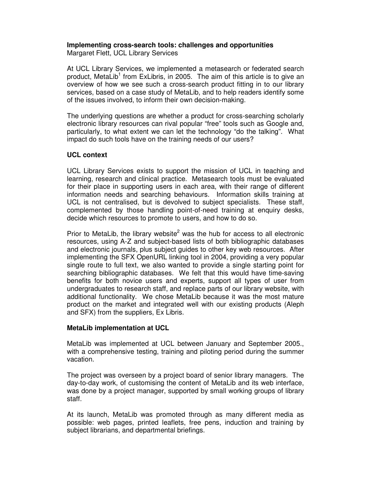# **Implementing cross-search tools: challenges and opportunities**

Margaret Flett, UCL Library Services

At UCL Library Services, we implemented a metasearch or federated search product, MetaLib<sup>1</sup> from ExLibris, in 2005. The aim of this article is to give an overview of how we see such a cross-search product fitting in to our library services, based on a case study of MetaLib, and to help readers identify some of the issues involved, to inform their own decision-making.

The underlying questions are whether a product for cross-searching scholarly electronic library resources can rival popular "free" tools such as Google and, particularly, to what extent we can let the technology "do the talking". What impact do such tools have on the training needs of our users?

## **UCL context**

UCL Library Services exists to support the mission of UCL in teaching and learning, research and clinical practice. Metasearch tools must be evaluated for their place in supporting users in each area, with their range of different information needs and searching behaviours. Information skills training at UCL is not centralised, but is devolved to subject specialists. These staff, complemented by those handling point-of-need training at enquiry desks, decide which resources to promote to users, and how to do so.

Prior to MetaLib, the library website<sup>2</sup> was the hub for access to all electronic resources, using A-Z and subject-based lists of both bibliographic databases and electronic journals, plus subject guides to other key web resources. After implementing the SFX OpenURL linking tool in 2004, providing a very popular single route to full text, we also wanted to provide a single starting point for searching bibliographic databases. We felt that this would have time-saving benefits for both novice users and experts, support all types of user from undergraduates to research staff, and replace parts of our library website, with additional functionality. We chose MetaLib because it was the most mature product on the market and integrated well with our existing products (Aleph and SFX) from the suppliers, Ex Libris.

# **MetaLib implementation at UCL**

MetaLib was implemented at UCL between January and September 2005., with a comprehensive testing, training and piloting period during the summer vacation.

The project was overseen by a project board of senior library managers. The day-to-day work, of customising the content of MetaLib and its web interface, was done by a project manager, supported by small working groups of library staff.

At its launch, MetaLib was promoted through as many different media as possible: web pages, printed leaflets, free pens, induction and training by subject librarians, and departmental briefings.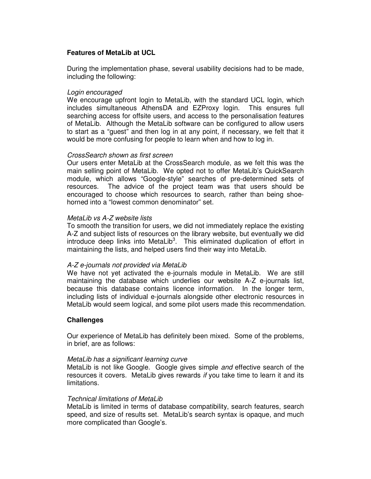## **Features of MetaLib at UCL**

During the implementation phase, several usability decisions had to be made, including the following:

#### Login encouraged

We encourage upfront login to MetaLib, with the standard UCL login, which includes simultaneous AthensDA and EZProxy login. This ensures full searching access for offsite users, and access to the personalisation features of MetaLib. Although the MetaLib software can be configured to allow users to start as a "guest" and then log in at any point, if necessary, we felt that it would be more confusing for people to learn when and how to log in.

#### CrossSearch shown as first screen

Our users enter MetaLib at the CrossSearch module, as we felt this was the main selling point of MetaLib. We opted not to offer MetaLib's QuickSearch module, which allows "Google-style" searches of pre-determined sets of resources. The advice of the project team was that users should be encouraged to choose which resources to search, rather than being shoehorned into a "lowest common denominator" set.

## MetaLib vs A-Z website lists

To smooth the transition for users, we did not immediately replace the existing A-Z and subject lists of resources on the library website, but eventually we did introduce deep links into MetaLib<sup>3</sup>. This eliminated duplication of effort in maintaining the lists, and helped users find their way into MetaLib.

#### A-Z e-journals not provided via MetaLib

We have not yet activated the e-journals module in MetaLib. We are still maintaining the database which underlies our website A-Z e-journals list, because this database contains licence information. In the longer term, including lists of individual e-journals alongside other electronic resources in MetaLib would seem logical, and some pilot users made this recommendation.

## **Challenges**

Our experience of MetaLib has definitely been mixed. Some of the problems, in brief, are as follows:

#### MetaLib has a significant learning curve

MetaLib is not like Google. Google gives simple and effective search of the resources it covers. MetaLib gives rewards if you take time to learn it and its limitations.

#### Technical limitations of MetaLib

MetaLib is limited in terms of database compatibility, search features, search speed, and size of results set. MetaLib's search syntax is opaque, and much more complicated than Google's.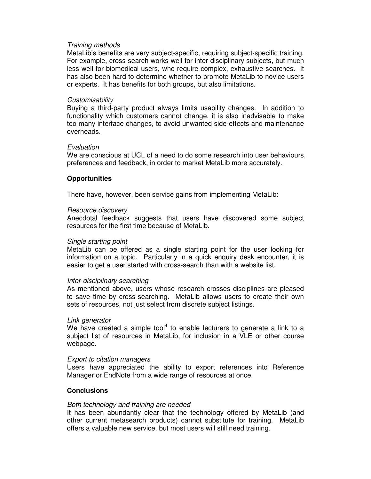#### Training methods

MetaLib's benefits are very subject-specific, requiring subject-specific training. For example, cross-search works well for inter-disciplinary subjects, but much less well for biomedical users, who require complex, exhaustive searches. It has also been hard to determine whether to promote MetaLib to novice users or experts. It has benefits for both groups, but also limitations.

#### **Customisability**

Buying a third-party product always limits usability changes. In addition to functionality which customers cannot change, it is also inadvisable to make too many interface changes, to avoid unwanted side-effects and maintenance overheads.

#### Evaluation

We are conscious at UCL of a need to do some research into user behaviours, preferences and feedback, in order to market MetaLib more accurately.

#### **Opportunities**

There have, however, been service gains from implementing MetaLib:

#### Resource discovery

Anecdotal feedback suggests that users have discovered some subject resources for the first time because of MetaLib.

#### Single starting point

MetaLib can be offered as a single starting point for the user looking for information on a topic. Particularly in a quick enquiry desk encounter, it is easier to get a user started with cross-search than with a website list.

#### Inter-disciplinary searching

As mentioned above, users whose research crosses disciplines are pleased to save time by cross-searching. MetaLib allows users to create their own sets of resources, not just select from discrete subject listings.

#### Link generator

We have created a simple tool<sup>4</sup> to enable lecturers to generate a link to a subject list of resources in MetaLib, for inclusion in a VLE or other course webpage.

#### Export to citation managers

Users have appreciated the ability to export references into Reference Manager or EndNote from a wide range of resources at once.

#### **Conclusions**

#### Both technology and training are needed

It has been abundantly clear that the technology offered by MetaLib (and other current metasearch products) cannot substitute for training. MetaLib offers a valuable new service, but most users will still need training.